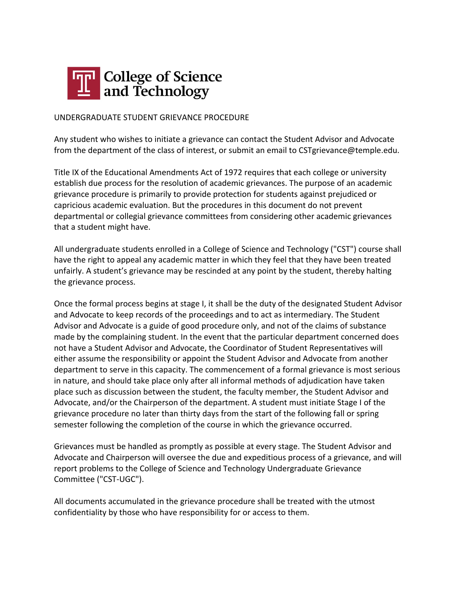

## UNDERGRADUATE STUDENT GRIEVANCE PROCEDURE

Any student who wishes to initiate a grievance can contact the Student Advisor and Advocate from the department of the class of interest, or submit an email to CSTgrievance@temple.edu.

Title IX of the Educational Amendments Act of 1972 requires that each college or university establish due process for the resolution of academic grievances. The purpose of an academic grievance procedure is primarily to provide protection for students against prejudiced or capricious academic evaluation. But the procedures in this document do not prevent departmental or collegial grievance committees from considering other academic grievances that a student might have.

All undergraduate students enrolled in a College of Science and Technology ("CST") course shall have the right to appeal any academic matter in which they feel that they have been treated unfairly. A student's grievance may be rescinded at any point by the student, thereby halting the grievance process.

Once the formal process begins at stage I, it shall be the duty of the designated Student Advisor and Advocate to keep records of the proceedings and to act as intermediary. The Student Advisor and Advocate is a guide of good procedure only, and not of the claims of substance made by the complaining student. In the event that the particular department concerned does not have a Student Advisor and Advocate, the Coordinator of Student Representatives will either assume the responsibility or appoint the Student Advisor and Advocate from another department to serve in this capacity. The commencement of a formal grievance is most serious in nature, and should take place only after all informal methods of adjudication have taken place such as discussion between the student, the faculty member, the Student Advisor and Advocate, and/or the Chairperson of the department. A student must initiate Stage I of the grievance procedure no later than thirty days from the start of the following fall or spring semester following the completion of the course in which the grievance occurred.

Grievances must be handled as promptly as possible at every stage. The Student Advisor and Advocate and Chairperson will oversee the due and expeditious process of a grievance, and will report problems to the College of Science and Technology Undergraduate Grievance Committee ("CST-UGC").

All documents accumulated in the grievance procedure shall be treated with the utmost confidentiality by those who have responsibility for or access to them.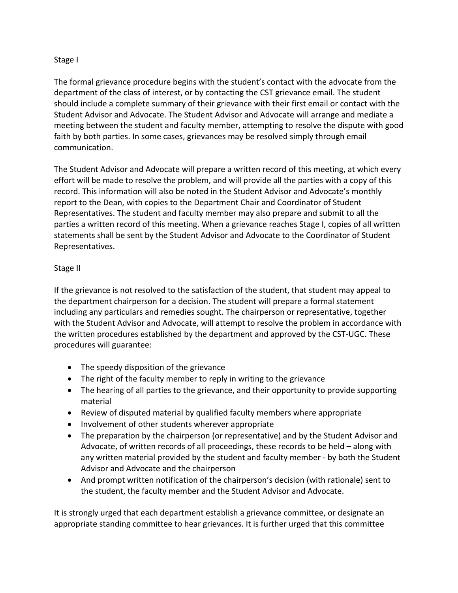## Stage I

The formal grievance procedure begins with the student's contact with the advocate from the department of the class of interest, or by contacting the CST grievance email. The student should include a complete summary of their grievance with their first email or contact with the Student Advisor and Advocate. The Student Advisor and Advocate will arrange and mediate a meeting between the student and faculty member, attempting to resolve the dispute with good faith by both parties. In some cases, grievances may be resolved simply through email communication.

The Student Advisor and Advocate will prepare a written record of this meeting, at which every effort will be made to resolve the problem, and will provide all the parties with a copy of this record. This information will also be noted in the Student Advisor and Advocate's monthly report to the Dean, with copies to the Department Chair and Coordinator of Student Representatives. The student and faculty member may also prepare and submit to all the parties a written record of this meeting. When a grievance reaches Stage I, copies of all written statements shall be sent by the Student Advisor and Advocate to the Coordinator of Student Representatives.

## Stage II

If the grievance is not resolved to the satisfaction of the student, that student may appeal to the department chairperson for a decision. The student will prepare a formal statement including any particulars and remedies sought. The chairperson or representative, together with the Student Advisor and Advocate, will attempt to resolve the problem in accordance with the written procedures established by the department and approved by the CST-UGC. These procedures will guarantee:

- The speedy disposition of the grievance
- The right of the faculty member to reply in writing to the grievance
- The hearing of all parties to the grievance, and their opportunity to provide supporting material
- Review of disputed material by qualified faculty members where appropriate
- Involvement of other students wherever appropriate
- The preparation by the chairperson (or representative) and by the Student Advisor and Advocate, of written records of all proceedings, these records to be held – along with any written material provided by the student and faculty member - by both the Student Advisor and Advocate and the chairperson
- And prompt written notification of the chairperson's decision (with rationale) sent to the student, the faculty member and the Student Advisor and Advocate.

It is strongly urged that each department establish a grievance committee, or designate an appropriate standing committee to hear grievances. It is further urged that this committee